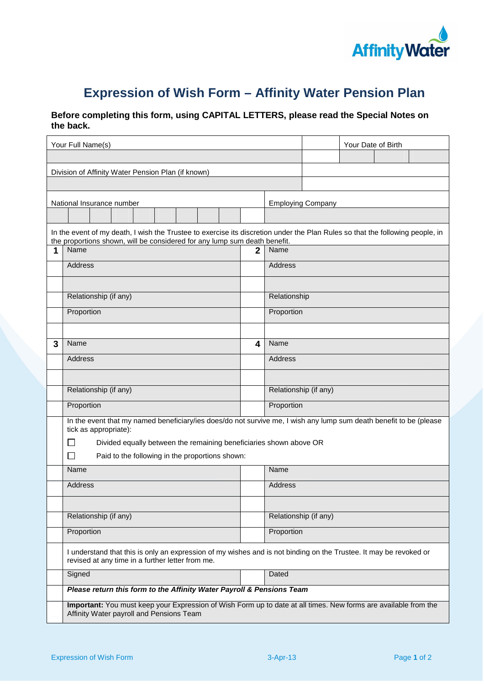

## **Expression of Wish Form – Affinity Water Pension Plan**

## **Before completing this form, using CAPITAL LETTERS, please read the Special Notes on the back.**

| Your Full Name(s)                                                                                                             |                                                                                                                                                                       |              |                       | Your Date of Birth       |  |  |  |  |
|-------------------------------------------------------------------------------------------------------------------------------|-----------------------------------------------------------------------------------------------------------------------------------------------------------------------|--------------|-----------------------|--------------------------|--|--|--|--|
|                                                                                                                               |                                                                                                                                                                       |              |                       |                          |  |  |  |  |
| Division of Affinity Water Pension Plan (if known)                                                                            |                                                                                                                                                                       |              |                       |                          |  |  |  |  |
|                                                                                                                               |                                                                                                                                                                       |              |                       |                          |  |  |  |  |
| National Insurance number                                                                                                     |                                                                                                                                                                       |              |                       | <b>Employing Company</b> |  |  |  |  |
|                                                                                                                               |                                                                                                                                                                       |              |                       |                          |  |  |  |  |
| In the event of my death, I wish the Trustee to exercise its discretion under the Plan Rules so that the following people, in |                                                                                                                                                                       |              |                       |                          |  |  |  |  |
| 1                                                                                                                             | the proportions shown, will be considered for any lump sum death benefit.<br>Name                                                                                     | Name         |                       |                          |  |  |  |  |
|                                                                                                                               | Address                                                                                                                                                               | $\mathbf{2}$ | Address               |                          |  |  |  |  |
|                                                                                                                               |                                                                                                                                                                       |              |                       |                          |  |  |  |  |
|                                                                                                                               |                                                                                                                                                                       |              |                       |                          |  |  |  |  |
|                                                                                                                               | Relationship (if any)                                                                                                                                                 |              |                       | Relationship             |  |  |  |  |
|                                                                                                                               | Proportion                                                                                                                                                            |              | Proportion            |                          |  |  |  |  |
|                                                                                                                               |                                                                                                                                                                       |              |                       |                          |  |  |  |  |
| 3                                                                                                                             | Name                                                                                                                                                                  | 4            | Name                  |                          |  |  |  |  |
|                                                                                                                               | Address                                                                                                                                                               |              | Address               |                          |  |  |  |  |
|                                                                                                                               |                                                                                                                                                                       |              |                       |                          |  |  |  |  |
|                                                                                                                               | Relationship (if any)                                                                                                                                                 |              | Relationship (if any) |                          |  |  |  |  |
|                                                                                                                               | Proportion                                                                                                                                                            |              | Proportion            |                          |  |  |  |  |
|                                                                                                                               | In the event that my named beneficiary/ies does/do not survive me, I wish any lump sum death benefit to be (please                                                    |              |                       |                          |  |  |  |  |
|                                                                                                                               | tick as appropriate):                                                                                                                                                 |              |                       |                          |  |  |  |  |
|                                                                                                                               | Divided equally between the remaining beneficiaries shown above OR<br>Paid to the following in the proportions shown:                                                 |              |                       |                          |  |  |  |  |
|                                                                                                                               | Name<br>Name                                                                                                                                                          |              |                       |                          |  |  |  |  |
|                                                                                                                               | <b>Address</b>                                                                                                                                                        |              | Address               |                          |  |  |  |  |
|                                                                                                                               |                                                                                                                                                                       |              |                       |                          |  |  |  |  |
|                                                                                                                               |                                                                                                                                                                       |              |                       |                          |  |  |  |  |
|                                                                                                                               | Relationship (if any)                                                                                                                                                 |              | Relationship (if any) |                          |  |  |  |  |
|                                                                                                                               | Proportion                                                                                                                                                            |              | Proportion            |                          |  |  |  |  |
|                                                                                                                               | I understand that this is only an expression of my wishes and is not binding on the Trustee. It may be revoked or<br>revised at any time in a further letter from me. |              |                       |                          |  |  |  |  |
|                                                                                                                               | Signed                                                                                                                                                                |              | Dated                 |                          |  |  |  |  |
|                                                                                                                               | Please return this form to the Affinity Water Payroll & Pensions Team                                                                                                 |              |                       |                          |  |  |  |  |
|                                                                                                                               | Important: You must keep your Expression of Wish Form up to date at all times. New forms are available from the<br>Affinity Water payroll and Pensions Team           |              |                       |                          |  |  |  |  |